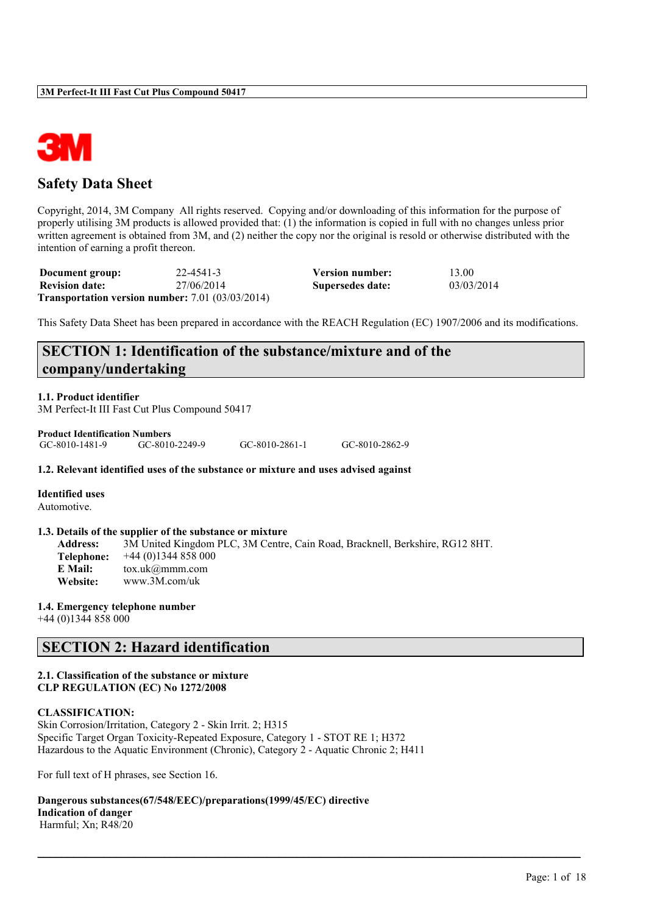

# **Safety Data Sheet**

Copyright, 2014, 3M Company All rights reserved. Copying and/or downloading of this information for the purpose of properly utilising 3M products is allowed provided that: (1) the information is copied in full with no changes unless prior written agreement is obtained from 3M, and (2) neither the copy nor the original is resold or otherwise distributed with the intention of earning a profit thereon.

| Document group:       | 22-4541-3                                                   | <b>Version number:</b> | 13.00      |
|-----------------------|-------------------------------------------------------------|------------------------|------------|
| <b>Revision date:</b> | 27/06/2014                                                  | Supersedes date:       | 03/03/2014 |
|                       | <b>Transportation version number:</b> $7.01$ $(03/03/2014)$ |                        |            |

This Safety Data Sheet has been prepared in accordance with the REACH Regulation (EC) 1907/2006 and its modifications.

# **SECTION 1: Identification of the substance/mixture and of the company/undertaking**

**1.1. Product identifier**

3M Perfect-It III Fast Cut Plus Compound 50417

| <b>Product Identification Numbers</b> |                |                |                |
|---------------------------------------|----------------|----------------|----------------|
| GC-8010-1481-9                        | GC-8010-2249-9 | GC-8010-2861-1 | GC-8010-2862-9 |

#### **1.2. Relevant identified uses of the substance or mixture and uses advised against**

**Identified uses** Automotive.

#### **1.3. Details of the supplier of the substance or mixture**

**Address:** 3M United Kingdom PLC, 3M Centre, Cain Road, Bracknell, Berkshire, RG12 8HT. **Telephone:** +44 (0)1344 858 000 **E Mail:** tox.uk@mmm.com **Website:** www.3M.com/uk

 $\mathcal{L}_\mathcal{L} = \mathcal{L}_\mathcal{L} = \mathcal{L}_\mathcal{L} = \mathcal{L}_\mathcal{L} = \mathcal{L}_\mathcal{L} = \mathcal{L}_\mathcal{L} = \mathcal{L}_\mathcal{L} = \mathcal{L}_\mathcal{L} = \mathcal{L}_\mathcal{L} = \mathcal{L}_\mathcal{L} = \mathcal{L}_\mathcal{L} = \mathcal{L}_\mathcal{L} = \mathcal{L}_\mathcal{L} = \mathcal{L}_\mathcal{L} = \mathcal{L}_\mathcal{L} = \mathcal{L}_\mathcal{L} = \mathcal{L}_\mathcal{L}$ 

#### **1.4. Emergency telephone number**

+44 (0)1344 858 000

# **SECTION 2: Hazard identification**

#### **2.1. Classification of the substance or mixture CLP REGULATION (EC) No 1272/2008**

#### **CLASSIFICATION:**

Skin Corrosion/Irritation, Category 2 - Skin Irrit. 2; H315 Specific Target Organ Toxicity-Repeated Exposure, Category 1 - STOT RE 1; H372 Hazardous to the Aquatic Environment (Chronic), Category 2 - Aquatic Chronic 2; H411

For full text of H phrases, see Section 16.

**Dangerous substances(67/548/EEC)/preparations(1999/45/EC) directive Indication of danger**

Harmful; Xn; R48/20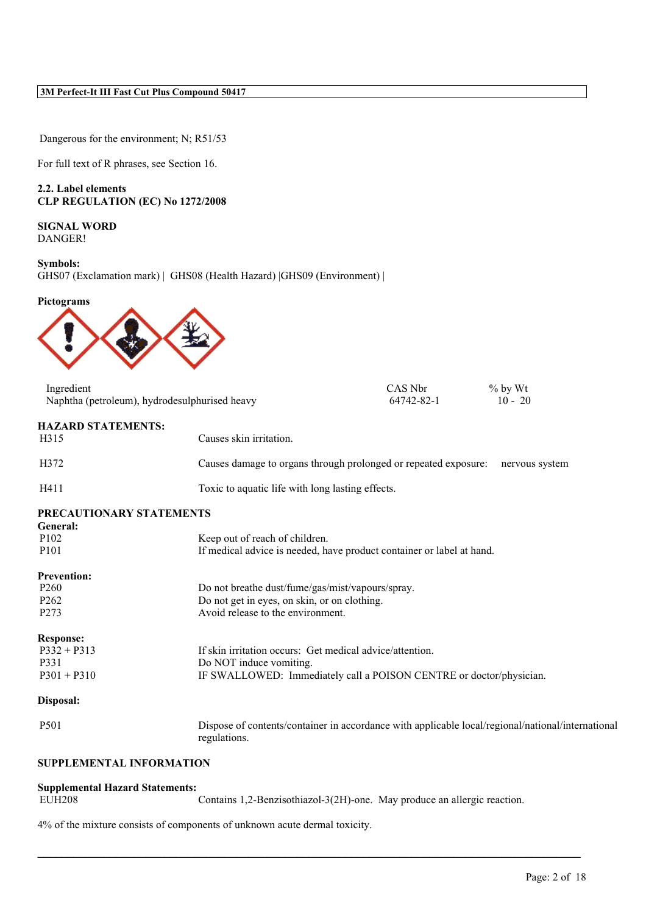Dangerous for the environment; N; R51/53

For full text of R phrases, see Section 16.

**2.2. Label elements CLP REGULATION (EC) No 1272/2008**

**SIGNAL WORD** DANGER!

**Symbols:** GHS07 (Exclamation mark) | GHS08 (Health Hazard) |GHS09 (Environment) |

**Pictograms**



|                                               |                                                                                                                   |            | $%$ by Wt      |
|-----------------------------------------------|-------------------------------------------------------------------------------------------------------------------|------------|----------------|
| Naphtha (petroleum), hydrodesulphurised heavy |                                                                                                                   | 64742-82-1 | $10 - 20$      |
| <b>HAZARD STATEMENTS:</b>                     |                                                                                                                   |            |                |
| H315                                          | Causes skin irritation.                                                                                           |            |                |
| H372                                          | Causes damage to organs through prolonged or repeated exposure:                                                   |            | nervous system |
| H411                                          | Toxic to aquatic life with long lasting effects.                                                                  |            |                |
| PRECAUTIONARY STATEMENTS                      |                                                                                                                   |            |                |
| General:<br>P <sub>102</sub>                  | Keep out of reach of children.                                                                                    |            |                |
| P <sub>10</sub> 1                             | If medical advice is needed, have product container or label at hand.                                             |            |                |
|                                               |                                                                                                                   |            |                |
| <b>Prevention:</b>                            |                                                                                                                   |            |                |
| P <sub>260</sub>                              | Do not breathe dust/fume/gas/mist/vapours/spray.                                                                  |            |                |
| P <sub>262</sub>                              | Do not get in eyes, on skin, or on clothing.                                                                      |            |                |
| P <sub>273</sub>                              | Avoid release to the environment.                                                                                 |            |                |
| <b>Response:</b>                              |                                                                                                                   |            |                |
| $P332 + P313$                                 | If skin irritation occurs: Get medical advice/attention.                                                          |            |                |
| P331                                          | Do NOT induce vomiting.                                                                                           |            |                |
| $P301 + P310$                                 | IF SWALLOWED: Immediately call a POISON CENTRE or doctor/physician.                                               |            |                |
| Disposal:                                     |                                                                                                                   |            |                |
| P501                                          | Dispose of contents/container in accordance with applicable local/regional/national/international<br>regulations. |            |                |
| <b>SUPPLEMENTAL INFORMATION</b>               |                                                                                                                   |            |                |

# **Supplemental Hazard Statements:**

Contains 1,2-Benzisothiazol-3(2H)-one. May produce an allergic reaction.

 $\mathcal{L}_\mathcal{L} = \mathcal{L}_\mathcal{L} = \mathcal{L}_\mathcal{L} = \mathcal{L}_\mathcal{L} = \mathcal{L}_\mathcal{L} = \mathcal{L}_\mathcal{L} = \mathcal{L}_\mathcal{L} = \mathcal{L}_\mathcal{L} = \mathcal{L}_\mathcal{L} = \mathcal{L}_\mathcal{L} = \mathcal{L}_\mathcal{L} = \mathcal{L}_\mathcal{L} = \mathcal{L}_\mathcal{L} = \mathcal{L}_\mathcal{L} = \mathcal{L}_\mathcal{L} = \mathcal{L}_\mathcal{L} = \mathcal{L}_\mathcal{L}$ 

4% of the mixture consists of components of unknown acute dermal toxicity.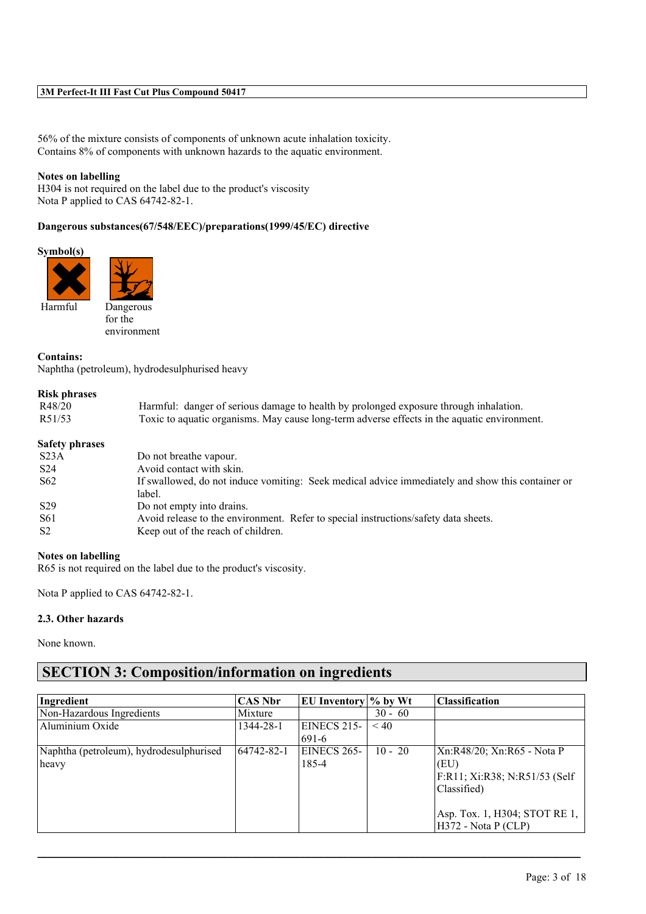56% of the mixture consists of components of unknown acute inhalation toxicity. Contains 8% of components with unknown hazards to the aquatic environment.

#### **Notes on labelling**

H304 is not required on the label due to the product's viscosity Nota P applied to CAS 64742-82-1.

#### **Dangerous substances(67/548/EEC)/preparations(1999/45/EC) directive**

#### **Symbol(s)**





for the environment

#### **Contains:**

Naphtha (petroleum), hydrodesulphurised heavy

#### **Risk phrases**

| R48/20                | Harmful: danger of serious damage to health by prolonged exposure through inhalation.            |  |
|-----------------------|--------------------------------------------------------------------------------------------------|--|
| R51/53                | Toxic to aquatic organisms. May cause long-term adverse effects in the aquatic environment.      |  |
| <b>Safety phrases</b> |                                                                                                  |  |
| S <sub>23A</sub>      | Do not breathe vapour.                                                                           |  |
| S <sub>24</sub>       | Avoid contact with skin.                                                                         |  |
| S <sub>62</sub>       | If swallowed, do not induce vomiting: Seek medical advice immediately and show this container or |  |
|                       | label.                                                                                           |  |
| S <sub>29</sub>       | Do not empty into drains.                                                                        |  |
| S61                   | Avoid release to the environment. Refer to special instructions/safety data sheets.              |  |
| S <sub>2</sub>        | Keep out of the reach of children.                                                               |  |
|                       |                                                                                                  |  |

#### **Notes on labelling**

R65 is not required on the label due to the product's viscosity.

Nota P applied to CAS 64742-82-1.

#### **2.3. Other hazards**

None known.

# **SECTION 3: Composition/information on ingredients**

| Ingredient                              | <b>CAS Nbr</b> | EU Inventory % by Wt |           | <b>Classification</b>          |
|-----------------------------------------|----------------|----------------------|-----------|--------------------------------|
| Non-Hazardous Ingredients               | Mixture        |                      | $30 - 60$ |                                |
| Aluminium Oxide                         | 1344-28-1      | EINECS 215-          | < 40      |                                |
|                                         |                | 691-6                |           |                                |
| Naphtha (petroleum), hydrodesulphurised | 64742-82-1     | EINECS 265-          | $10 - 20$ | Xn:R48/20; Xn:R65 - Nota P     |
| heavy                                   |                | 185-4                |           | (EU)                           |
|                                         |                |                      |           | F:R11; Xi:R38; N:R51/53 (Self) |
|                                         |                |                      |           | Classified)                    |
|                                         |                |                      |           |                                |
|                                         |                |                      |           | Asp. Tox. 1, H304; STOT RE 1,  |
|                                         |                |                      |           | $H372$ - Nota P (CLP)          |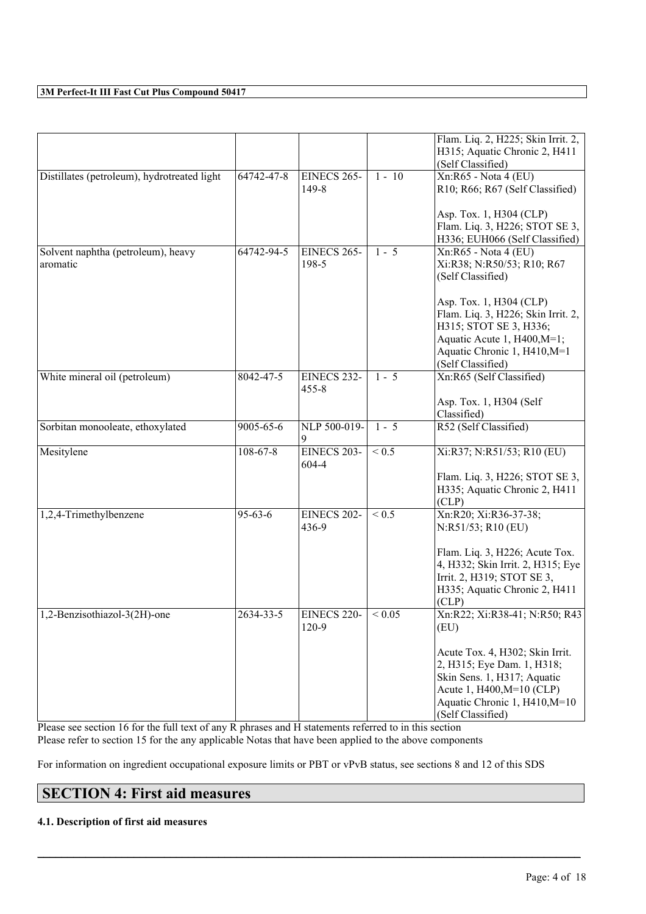|                                                |                |                          |                 | Flam. Liq. 2, H225; Skin Irrit. 2,<br>H315; Aquatic Chronic 2, H411                                                                                                             |
|------------------------------------------------|----------------|--------------------------|-----------------|---------------------------------------------------------------------------------------------------------------------------------------------------------------------------------|
|                                                |                |                          |                 | (Self Classified)                                                                                                                                                               |
| Distillates (petroleum), hydrotreated light    | 64742-47-8     | EINECS 265-              | $1 - 10$        | Xn:R65 - Nota 4 (EU)                                                                                                                                                            |
|                                                |                | 149-8                    |                 | R10; R66; R67 (Self Classified)                                                                                                                                                 |
|                                                |                |                          |                 | Asp. Tox. 1, H304 (CLP)                                                                                                                                                         |
|                                                |                |                          |                 | Flam. Liq. 3, H226; STOT SE 3,<br>H336; EUH066 (Self Classified)                                                                                                                |
| Solvent naphtha (petroleum), heavy<br>aromatic | 64742-94-5     | EINECS 265-<br>198-5     | $1 - 5$         | Xn:R65 - Nota 4 (EU)<br>Xi:R38; N:R50/53; R10; R67<br>(Self Classified)                                                                                                         |
|                                                |                |                          |                 | Asp. Tox. 1, H304 (CLP)<br>Flam. Liq. 3, H226; Skin Irrit. 2,<br>H315; STOT SE 3, H336;<br>Aquatic Acute 1, H400, M=1;<br>Aquatic Chronic 1, H410, M=1<br>(Self Classified)     |
| White mineral oil (petroleum)                  | 8042-47-5      | EINECS 232-<br>$455 - 8$ | $1 - 5$         | Xn:R65 (Self Classified)<br>Asp. Tox. 1, H304 (Self                                                                                                                             |
|                                                |                |                          |                 | Classified)                                                                                                                                                                     |
| Sorbitan monooleate, ethoxylated               | 9005-65-6      | NLP 500-019-<br>9        | $1 - 5$         | R52 (Self Classified)                                                                                                                                                           |
| Mesitylene                                     | $108 - 67 - 8$ | EINECS 203-<br>604-4     | ${}_{\leq 0.5}$ | Xi:R37; N:R51/53; R10 (EU)                                                                                                                                                      |
|                                                |                |                          |                 | Flam. Liq. 3, H226; STOT SE 3,<br>H335; Aquatic Chronic 2, H411<br>CLP)                                                                                                         |
| 1,2,4-Trimethylbenzene                         | $95 - 63 - 6$  | EINECS 202-<br>436-9     | ${}_{\leq 0.5}$ | Xn:R20; Xi:R36-37-38;<br>N:R51/53; R10 (EU)                                                                                                                                     |
|                                                |                |                          |                 | Flam. Liq. 3, H226; Acute Tox.<br>4, H332; Skin Irrit. 2, H315; Eye<br>Irrit. 2, H319; STOT SE 3,<br>H335; Aquatic Chronic 2, H411<br>CLP)                                      |
| 1,2-Benzisothiazol-3(2H)-one                   | 2634-33-5      | EINECS 220-<br>$120-9$   | ${}_{0.05}$     | Xn:R22; Xi:R38-41; N:R50; R43<br>(EU)                                                                                                                                           |
|                                                |                |                          |                 | Acute Tox. 4, H302; Skin Irrit.<br>2, H315; Eye Dam. 1, H318;<br>Skin Sens. 1, H317; Aquatic<br>Acute 1, H400, M=10 (CLP)<br>Aquatic Chronic 1, H410, M=10<br>(Self Classified) |

Please see section 16 for the full text of any R phrases and H statements referred to in this section Please refer to section 15 for the any applicable Notas that have been applied to the above components

For information on ingredient occupational exposure limits or PBT or vPvB status, see sections 8 and 12 of this SDS

 $\mathcal{L}_\mathcal{L} = \mathcal{L}_\mathcal{L} = \mathcal{L}_\mathcal{L} = \mathcal{L}_\mathcal{L} = \mathcal{L}_\mathcal{L} = \mathcal{L}_\mathcal{L} = \mathcal{L}_\mathcal{L} = \mathcal{L}_\mathcal{L} = \mathcal{L}_\mathcal{L} = \mathcal{L}_\mathcal{L} = \mathcal{L}_\mathcal{L} = \mathcal{L}_\mathcal{L} = \mathcal{L}_\mathcal{L} = \mathcal{L}_\mathcal{L} = \mathcal{L}_\mathcal{L} = \mathcal{L}_\mathcal{L} = \mathcal{L}_\mathcal{L}$ 

# **SECTION 4: First aid measures**

### **4.1. Description of first aid measures**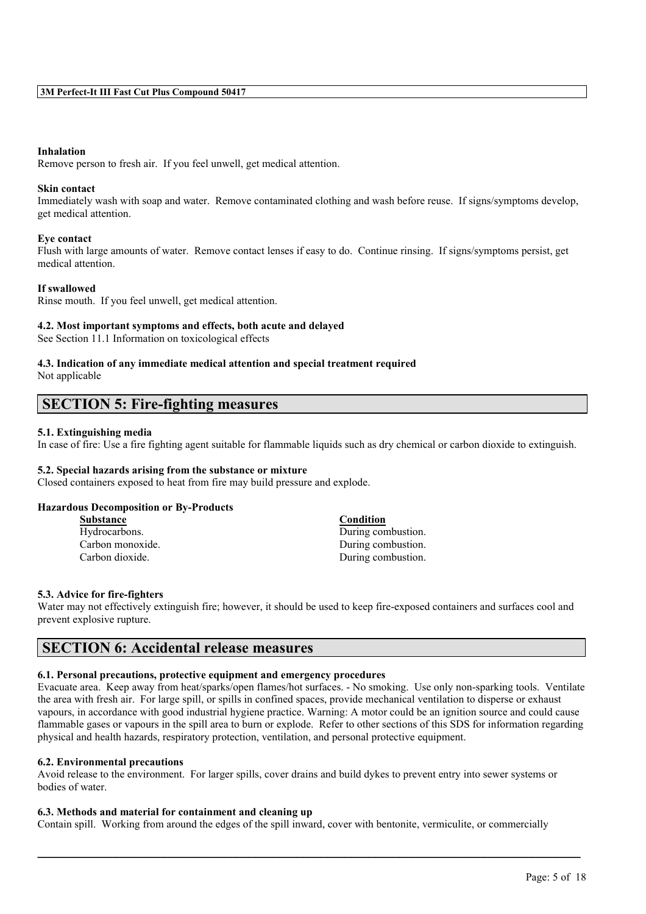#### **Inhalation**

Remove person to fresh air. If you feel unwell, get medical attention.

### **Skin contact**

Immediately wash with soap and water. Remove contaminated clothing and wash before reuse. If signs/symptoms develop, get medical attention.

#### **Eye contact**

Flush with large amounts of water. Remove contact lenses if easy to do. Continue rinsing. If signs/symptoms persist, get medical attention.

#### **If swallowed**

Rinse mouth. If you feel unwell, get medical attention.

#### **4.2. Most important symptoms and effects, both acute and delayed**

See Section 11.1 Information on toxicological effects

#### **4.3. Indication of any immediate medical attention and special treatment required** Not applicable

# **SECTION 5: Fire-fighting measures**

#### **5.1. Extinguishing media**

In case of fire: Use a fire fighting agent suitable for flammable liquids such as dry chemical or carbon dioxide to extinguish.

#### **5.2. Special hazards arising from the substance or mixture**

Closed containers exposed to heat from fire may build pressure and explode.

#### **Hazardous Decomposition or By-Products**

| <b>Substance</b> | Condition          |
|------------------|--------------------|
| Hydrocarbons.    | During combustion. |
| Carbon monoxide. | During combustion. |
| Carbon dioxide.  | During combustion. |

#### **5.3. Advice for fire-fighters**

Water may not effectively extinguish fire; however, it should be used to keep fire-exposed containers and surfaces cool and prevent explosive rupture.

# **SECTION 6: Accidental release measures**

# **6.1. Personal precautions, protective equipment and emergency procedures**

Evacuate area. Keep away from heat/sparks/open flames/hot surfaces. - No smoking. Use only non-sparking tools. Ventilate the area with fresh air. For large spill, or spills in confined spaces, provide mechanical ventilation to disperse or exhaust vapours, in accordance with good industrial hygiene practice. Warning: A motor could be an ignition source and could cause flammable gases or vapours in the spill area to burn or explode. Refer to other sections of this SDS for information regarding physical and health hazards, respiratory protection, ventilation, and personal protective equipment.

### **6.2. Environmental precautions**

Avoid release to the environment. For larger spills, cover drains and build dykes to prevent entry into sewer systems or bodies of water.

## **6.3. Methods and material for containment and cleaning up**

Contain spill. Working from around the edges of the spill inward, cover with bentonite, vermiculite, or commercially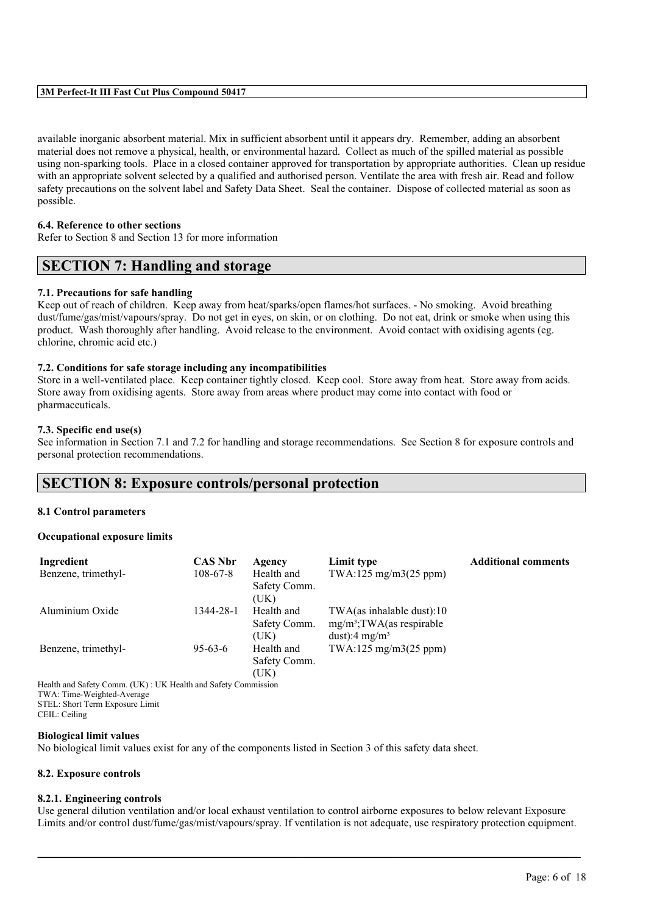available inorganic absorbent material. Mix in sufficient absorbent until it appears dry. Remember, adding an absorbent material does not remove a physical, health, or environmental hazard. Collect as much of the spilled material as possible using non-sparking tools. Place in a closed container approved for transportation by appropriate authorities. Clean up residue with an appropriate solvent selected by a qualified and authorised person. Ventilate the area with fresh air. Read and follow safety precautions on the solvent label and Safety Data Sheet. Seal the container. Dispose of collected material as soon as possible.

#### **6.4. Reference to other sections**

Refer to Section 8 and Section 13 for more information

# **SECTION 7: Handling and storage**

#### **7.1. Precautions for safe handling**

Keep out of reach of children. Keep away from heat/sparks/open flames/hot surfaces. - No smoking. Avoid breathing dust/fume/gas/mist/vapours/spray. Do not get in eyes, on skin, or on clothing. Do not eat, drink or smoke when using this product. Wash thoroughly after handling. Avoid release to the environment. Avoid contact with oxidising agents (eg. chlorine, chromic acid etc.)

#### **7.2. Conditions for safe storage including any incompatibilities**

Store in a well-ventilated place. Keep container tightly closed. Keep cool. Store away from heat. Store away from acids. Store away from oxidising agents. Store away from areas where product may come into contact with food or pharmaceuticals.

#### **7.3. Specific end use(s)**

See information in Section 7.1 and 7.2 for handling and storage recommendations. See Section 8 for exposure controls and personal protection recommendations.

# **SECTION 8: Exposure controls/personal protection**

#### **8.1 Control parameters**

#### **Occupational exposure limits**

| Ingredient                                                    | <b>CAS Nbr</b> | Agency                             | Limit type                                                                             | <b>Additional comments</b> |
|---------------------------------------------------------------|----------------|------------------------------------|----------------------------------------------------------------------------------------|----------------------------|
| Benzene, trimethyl-                                           | $108 - 67 - 8$ | Health and<br>Safety Comm.<br>(UK) | TWA:125 mg/m3(25 ppm)                                                                  |                            |
| Aluminium Oxide                                               | 1344-28-1      | Health and<br>Safety Comm.<br>(UK) | TWA(as inhalable dust):10<br>$mg/m^3$ ; TWA(as respirable<br>dust):4 mg/m <sup>3</sup> |                            |
| Benzene, trimethyl-                                           | $95-63-6$      | Health and<br>Safety Comm.<br>(UK) | $TWA:125$ mg/m $3(25$ ppm)                                                             |                            |
| Health and Safety Comm. (UK): UK Health and Safety Commission |                |                                    |                                                                                        |                            |

TWA: Time-Weighted-Average STEL: Short Term Exposure Limit CEIL: Ceiling

#### **Biological limit values**

No biological limit values exist for any of the components listed in Section 3 of this safety data sheet.

#### **8.2. Exposure controls**

#### **8.2.1. Engineering controls**

Use general dilution ventilation and/or local exhaust ventilation to control airborne exposures to below relevant Exposure Limits and/or control dust/fume/gas/mist/vapours/spray. If ventilation is not adequate, use respiratory protection equipment.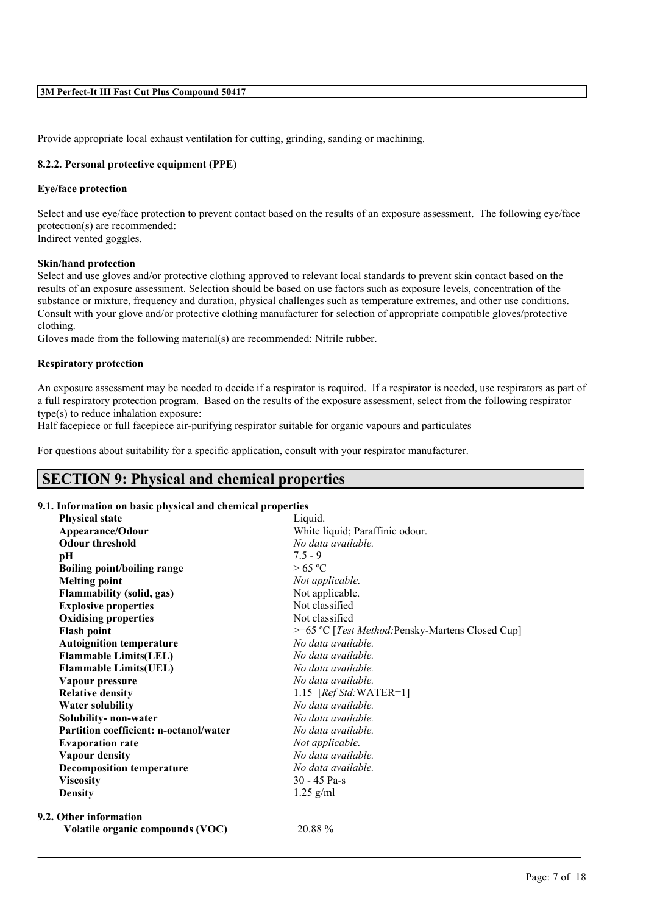Provide appropriate local exhaust ventilation for cutting, grinding, sanding or machining.

#### **8.2.2. Personal protective equipment (PPE)**

#### **Eye/face protection**

Select and use eye/face protection to prevent contact based on the results of an exposure assessment. The following eye/face protection(s) are recommended: Indirect vented goggles.

#### **Skin/hand protection**

Select and use gloves and/or protective clothing approved to relevant local standards to prevent skin contact based on the results of an exposure assessment. Selection should be based on use factors such as exposure levels, concentration of the substance or mixture, frequency and duration, physical challenges such as temperature extremes, and other use conditions. Consult with your glove and/or protective clothing manufacturer for selection of appropriate compatible gloves/protective clothing.

Gloves made from the following material(s) are recommended: Nitrile rubber.

#### **Respiratory protection**

An exposure assessment may be needed to decide if a respirator is required. If a respirator is needed, use respirators as part of a full respiratory protection program. Based on the results of the exposure assessment, select from the following respirator type(s) to reduce inhalation exposure:

Half facepiece or full facepiece air-purifying respirator suitable for organic vapours and particulates

For questions about suitability for a specific application, consult with your respirator manufacturer.

# **SECTION 9: Physical and chemical properties**

#### **9.1. Information on basic physical and chemical properties**

| <b>Physical state</b>                  | Liquid.                                                   |
|----------------------------------------|-----------------------------------------------------------|
| Appearance/Odour                       | White liquid; Paraffinic odour.                           |
| <b>Odour threshold</b>                 | No data available.                                        |
| pН                                     | $7.5 - 9$                                                 |
| <b>Boiling point/boiling range</b>     | >65 °C                                                    |
| <b>Melting point</b>                   | Not applicable.                                           |
| Flammability (solid, gas)              | Not applicable.                                           |
| <b>Explosive properties</b>            | Not classified                                            |
| <b>Oxidising properties</b>            | Not classified                                            |
| <b>Flash point</b>                     | >=65 °C [ <i>Test Method</i> : Pensky-Martens Closed Cup] |
| <b>Autoignition temperature</b>        | No data available.                                        |
| <b>Flammable Limits(LEL)</b>           | No data available.                                        |
| <b>Flammable Limits(UEL)</b>           | No data available.                                        |
| Vapour pressure                        | No data available.                                        |
| <b>Relative density</b>                | 1.15 $[RefStd:WATER=1]$                                   |
| <b>Water solubility</b>                | No data available.                                        |
| Solubility-non-water                   | No data available.                                        |
| Partition coefficient: n-octanol/water | No data available.                                        |
| <b>Evaporation rate</b>                | Not applicable.                                           |
| <b>Vapour density</b>                  | No data available.                                        |
| <b>Decomposition temperature</b>       | No data available.                                        |
| <b>Viscosity</b>                       | $30 - 45$ Pa-s                                            |
| <b>Density</b>                         | $1.25$ g/ml                                               |
| 9.2. Other information                 |                                                           |
| Volatile organic compounds (VOC)       | 20.88 %                                                   |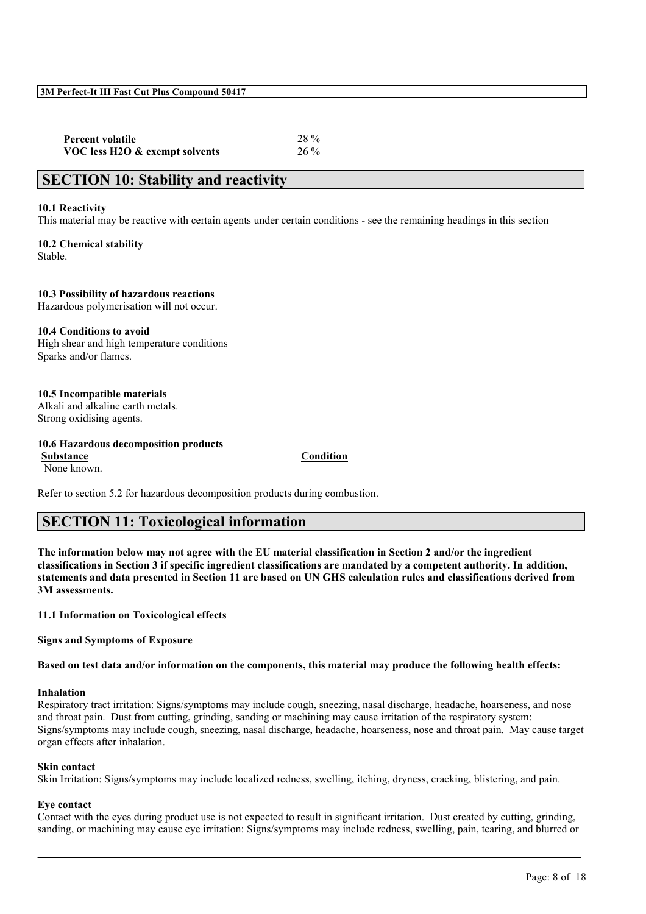| <b>Percent volatile</b>        | 28 %   |
|--------------------------------|--------|
| VOC less H2O & exempt solvents | $26\%$ |

# **SECTION 10: Stability and reactivity**

#### **10.1 Reactivity**

This material may be reactive with certain agents under certain conditions - see the remaining headings in this section

**10.2 Chemical stability** Stable.

**10.3 Possibility of hazardous reactions** Hazardous polymerisation will not occur.

**10.4 Conditions to avoid** High shear and high temperature conditions Sparks and/or flames.

#### **10.5 Incompatible materials** Alkali and alkaline earth metals.

Strong oxidising agents.

#### **10.6 Hazardous decomposition products**

**Substance Condition** None known.

Refer to section 5.2 for hazardous decomposition products during combustion.

# **SECTION 11: Toxicological information**

**The information below may not agree with the EU material classification in Section 2 and/or the ingredient classifications in Section 3 if specific ingredient classifications are mandated by a competent authority. In addition, statements and data presented in Section 11 are based on UN GHS calculation rules and classifications derived from 3M assessments.**

**11.1 Information on Toxicological effects**

**Signs and Symptoms of Exposure**

**Based on test data and/or information on the components, this material may produce the following health effects:**

#### **Inhalation**

Respiratory tract irritation: Signs/symptoms may include cough, sneezing, nasal discharge, headache, hoarseness, and nose and throat pain. Dust from cutting, grinding, sanding or machining may cause irritation of the respiratory system: Signs/symptoms may include cough, sneezing, nasal discharge, headache, hoarseness, nose and throat pain. May cause target organ effects after inhalation.

#### **Skin contact**

Skin Irritation: Signs/symptoms may include localized redness, swelling, itching, dryness, cracking, blistering, and pain.

#### **Eye contact**

Contact with the eyes during product use is not expected to result in significant irritation. Dust created by cutting, grinding, sanding, or machining may cause eye irritation: Signs/symptoms may include redness, swelling, pain, tearing, and blurred or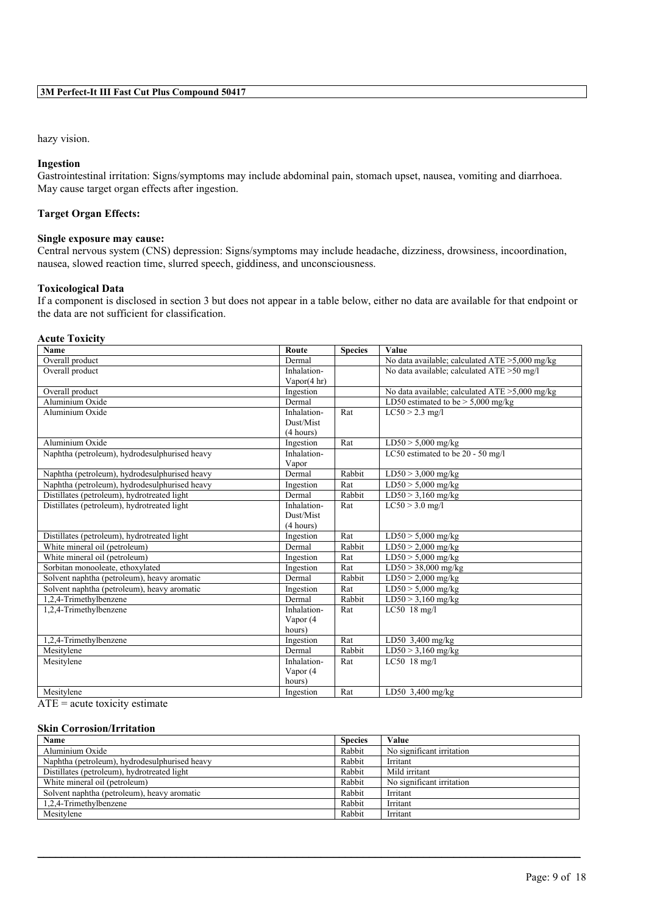### hazy vision.

#### **Ingestion**

Gastrointestinal irritation: Signs/symptoms may include abdominal pain, stomach upset, nausea, vomiting and diarrhoea. May cause target organ effects after ingestion.

#### **Target Organ Effects:**

#### **Single exposure may cause:**

Central nervous system (CNS) depression: Signs/symptoms may include headache, dizziness, drowsiness, incoordination, nausea, slowed reaction time, slurred speech, giddiness, and unconsciousness.

#### **Toxicological Data**

If a component is disclosed in section 3 but does not appear in a table below, either no data are available for that endpoint or the data are not sufficient for classification.

#### **Acute Toxicity**

| Name                                          | Route          | <b>Species</b> | Value                                             |
|-----------------------------------------------|----------------|----------------|---------------------------------------------------|
| Overall product                               | Dermal         |                | No data available; calculated $ATE > 5,000$ mg/kg |
| Overall product                               | Inhalation-    |                | No data available; calculated ATE > 50 mg/l       |
|                                               | Vapor $(4 hr)$ |                |                                                   |
| Overall product                               | Ingestion      |                | No data available; calculated $ATE > 5,000$ mg/kg |
| Aluminium Oxide                               | Dermal         |                | LD50 estimated to be $> 5,000$ mg/kg              |
| Aluminium Oxide                               | Inhalation-    | Rat            | $LC50 > 2.3$ mg/l                                 |
|                                               | Dust/Mist      |                |                                                   |
|                                               | (4 hours)      |                |                                                   |
| Aluminium Oxide                               | Ingestion      | Rat            | $LD50 > 5,000$ mg/kg                              |
| Naphtha (petroleum), hydrodesulphurised heavy | Inhalation-    |                | LC50 estimated to be 20 - 50 mg/l                 |
|                                               | Vapor          |                |                                                   |
| Naphtha (petroleum), hydrodesulphurised heavy | Dermal         | Rabbit         | $LD50 > 3,000$ mg/kg                              |
| Naphtha (petroleum), hydrodesulphurised heavy | Ingestion      | Rat            | $\overline{\text{LD50}}$ > 5,000 mg/kg            |
| Distillates (petroleum), hydrotreated light   | Dermal         | Rabbit         | $LD50 > 3,160$ mg/kg                              |
| Distillates (petroleum), hydrotreated light   | Inhalation-    | Rat            | $LC50 > 3.0$ mg/l                                 |
|                                               | Dust/Mist      |                |                                                   |
|                                               | (4 hours)      |                |                                                   |
| Distillates (petroleum), hydrotreated light   | Ingestion      | Rat            | $LD50 > 5,000$ mg/kg                              |
| White mineral oil (petroleum)                 | Dermal         | Rabbit         | $LD50 > 2,000$ mg/kg                              |
| White mineral oil (petroleum)                 | Ingestion      | Rat            | $LD50 > 5,000$ mg/kg                              |
| Sorbitan monooleate, ethoxylated              | Ingestion      | Rat            | $LD50 > 38,000$ mg/kg                             |
| Solvent naphtha (petroleum), heavy aromatic   | Dermal         | Rabbit         | $\overline{\text{LD50}}$ > 2,000 mg/kg            |
| Solvent naphtha (petroleum), heavy aromatic   | Ingestion      | Rat            | $LD50 > 5,000$ mg/kg                              |
| 1.2.4-Trimethylbenzene                        | Dermal         | Rabbit         | $LD50 > 3,160$ mg/kg                              |
| 1,2,4-Trimethylbenzene                        | Inhalation-    | Rat            | $LC50$ 18 mg/l                                    |
|                                               | Vapor (4       |                |                                                   |
|                                               | hours)         |                |                                                   |
| 1,2,4-Trimethylbenzene                        | Ingestion      | Rat            | LD50 $3,400$ mg/kg                                |
| Mesitylene                                    | Dermal         | Rabbit         | $LD50 > 3,160$ mg/kg                              |
| Mesitylene                                    | Inhalation-    | Rat            | $LC50$ 18 mg/l                                    |
|                                               | Vapor (4       |                |                                                   |
|                                               | hours)         |                |                                                   |
| Mesitylene                                    | Ingestion      | Rat            | LD50 $3,400$ mg/kg                                |

 $ATE = acute toxicity estimate$ 

#### **Skin Corrosion/Irritation**

| Name                                          | <b>Species</b> | Value                     |
|-----------------------------------------------|----------------|---------------------------|
| Aluminium Oxide                               | Rabbit         | No significant irritation |
| Naphtha (petroleum), hydrodesulphurised heavy | Rabbit         | Irritant                  |
| Distillates (petroleum), hydrotreated light   | Rabbit         | Mild irritant             |
| White mineral oil (petroleum)                 | Rabbit         | No significant irritation |
| Solvent naphtha (petroleum), heavy aromatic   | Rabbit         | Irritant                  |
| 1,2,4-Trimethylbenzene                        | Rabbit         | Irritant                  |
| Mesitylene                                    | Rabbit         | Irritant                  |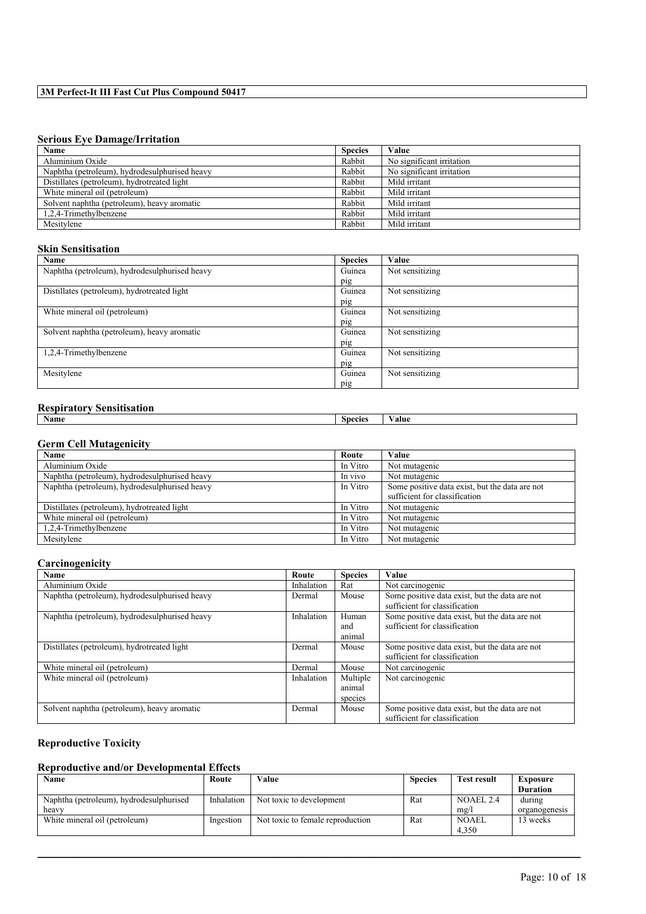# **Serious Eye Damage/Irritation**

| Name                                          | <b>Species</b> | Value                     |
|-----------------------------------------------|----------------|---------------------------|
| Aluminium Oxide                               | Rabbit         | No significant irritation |
| Naphtha (petroleum), hydrodesulphurised heavy | Rabbit         | No significant irritation |
| Distillates (petroleum), hydrotreated light   | Rabbit         | Mild irritant             |
| White mineral oil (petroleum)                 | Rabbit         | Mild irritant             |
| Solvent naphtha (petroleum), heavy aromatic   | Rabbit         | Mild irritant             |
| 1,2,4-Trimethylbenzene                        | Rabbit         | Mild irritant             |
| Mesitylene                                    | Rabbit         | Mild irritant             |

## **Skin Sensitisation**

| Name                                          | <b>Species</b> | Value           |
|-----------------------------------------------|----------------|-----------------|
| Naphtha (petroleum), hydrodesulphurised heavy | Guinea         | Not sensitizing |
|                                               | pig            |                 |
| Distillates (petroleum), hydrotreated light   | Guinea         | Not sensitizing |
|                                               | pig            |                 |
| White mineral oil (petroleum)                 | Guinea         | Not sensitizing |
|                                               | pig            |                 |
| Solvent naphtha (petroleum), heavy aromatic   | Guinea         | Not sensitizing |
|                                               | pig            |                 |
| 1,2,4-Trimethylbenzene                        | Guinea         | Not sensitizing |
|                                               | pig            |                 |
| Mesitylene                                    | Guinea         | Not sensitizing |
|                                               | pig            |                 |

# **Respiratory Sensitisation**

| <i>Respirator</i> , <i>Semsition</i><br>___ |         |       |
|---------------------------------------------|---------|-------|
| $\sim$<br>Name                              | Species | Value |
|                                             |         |       |

#### **Germ Cell Mutagenicity**

| Name                                          | Route    | Value                                          |
|-----------------------------------------------|----------|------------------------------------------------|
| Aluminium Oxide                               | In Vitro | Not mutagenic                                  |
| Naphtha (petroleum), hydrodesulphurised heavy | In vivo  | Not mutagenic                                  |
| Naphtha (petroleum), hydrodesulphurised heavy | In Vitro | Some positive data exist, but the data are not |
|                                               |          | sufficient for classification                  |
| Distillates (petroleum), hydrotreated light   | In Vitro | Not mutagenic                                  |
| White mineral oil (petroleum)                 | In Vitro | Not mutagenic                                  |
| 1,2,4-Trimethylbenzene                        | In Vitro | Not mutagenic                                  |
| Mesitylene                                    | In Vitro | Not mutagenic                                  |

#### **Carcinogenicity**

| Name                                          | Route      | <b>Species</b>                | Value                                                                           |
|-----------------------------------------------|------------|-------------------------------|---------------------------------------------------------------------------------|
| Aluminium Oxide                               | Inhalation | Rat                           | Not carcinogenic                                                                |
| Naphtha (petroleum), hydrodesulphurised heavy | Dermal     | Mouse                         | Some positive data exist, but the data are not<br>sufficient for classification |
| Naphtha (petroleum), hydrodesulphurised heavy | Inhalation | Human<br>and<br>animal        | Some positive data exist, but the data are not<br>sufficient for classification |
| Distillates (petroleum), hydrotreated light   | Dermal     | Mouse                         | Some positive data exist, but the data are not<br>sufficient for classification |
| White mineral oil (petroleum)                 | Dermal     | Mouse                         | Not carcinogenic                                                                |
| White mineral oil (petroleum)                 | Inhalation | Multiple<br>animal<br>species | Not carcinogenic                                                                |
| Solvent naphtha (petroleum), heavy aromatic   | Dermal     | Mouse                         | Some positive data exist, but the data are not<br>sufficient for classification |

# **Reproductive Toxicity**

#### **Reproductive and/or Developmental Effects**

| Name                                    | Route      | Value                            | <b>Species</b> | <b>Test result</b> | Exposure        |
|-----------------------------------------|------------|----------------------------------|----------------|--------------------|-----------------|
|                                         |            |                                  |                |                    | <b>Duration</b> |
| Naphtha (petroleum), hydrodesulphurised | Inhalation | Not toxic to development         | Rat            | NOAEL 2.4          | during          |
| heavy                                   |            |                                  |                | mg/                | organogenesis   |
| White mineral oil (petroleum)           | Ingestion  | Not toxic to female reproduction | Rat            | NOAEL              | 13 weeks        |
|                                         |            |                                  |                | 4.350              |                 |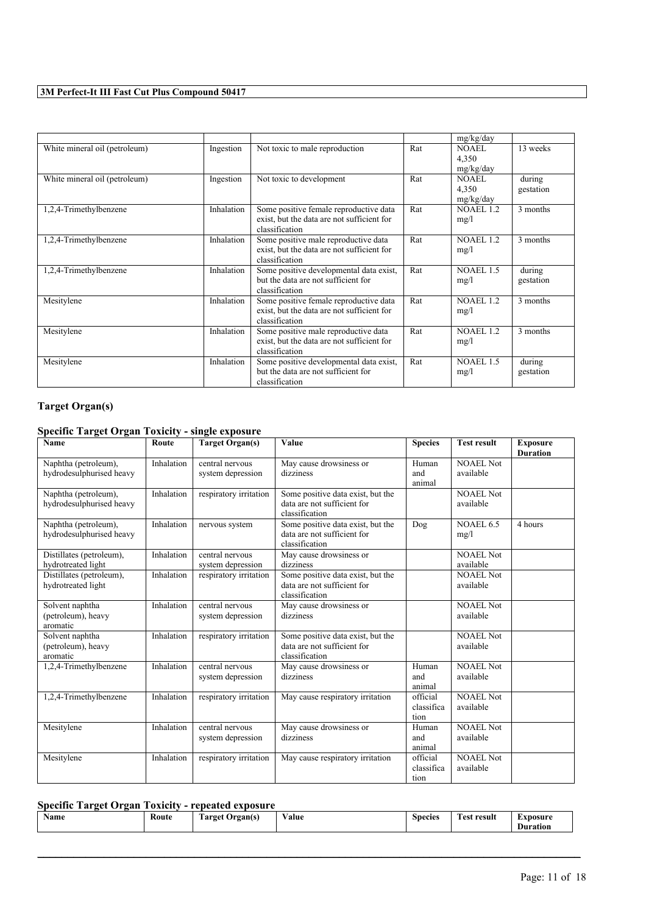|                               |            |                                                                                                        |     | mg/kg/day                   |                     |
|-------------------------------|------------|--------------------------------------------------------------------------------------------------------|-----|-----------------------------|---------------------|
| White mineral oil (petroleum) | Ingestion  | Not toxic to male reproduction                                                                         | Rat | NOAEL<br>4,350<br>mg/kg/day | 13 weeks            |
| White mineral oil (petroleum) | Ingestion  | Not toxic to development                                                                               | Rat | NOAEL<br>4,350<br>mg/kg/day | during<br>gestation |
| 1,2,4-Trimethylbenzene        | Inhalation | Some positive female reproductive data<br>exist, but the data are not sufficient for<br>classification | Rat | <b>NOAEL 1.2</b><br>mg/l    | 3 months            |
| 1,2,4-Trimethylbenzene        | Inhalation | Some positive male reproductive data<br>exist, but the data are not sufficient for<br>classification   | Rat | <b>NOAEL 1.2</b><br>mg/l    | 3 months            |
| 1,2,4-Trimethylbenzene        | Inhalation | Some positive developmental data exist,<br>but the data are not sufficient for<br>classification       | Rat | NOAEL 1.5<br>mg/l           | during<br>gestation |
| Mesitylene                    | Inhalation | Some positive female reproductive data<br>exist, but the data are not sufficient for<br>classification | Rat | NOAEL 1.2<br>mg/l           | 3 months            |
| Mesitylene                    | Inhalation | Some positive male reproductive data<br>exist, but the data are not sufficient for<br>classification   | Rat | <b>NOAEL 1.2</b><br>mg/l    | 3 months            |
| Mesitylene                    | Inhalation | Some positive developmental data exist,<br>but the data are not sufficient for<br>classification       | Rat | NOAEL 1.5<br>mg/l           | during<br>gestation |

# **Target Organ(s)**

# **Specific Target Organ Toxicity - single exposure**

| $\cdots$ . $\cdots$ , $\cdots$ . $\cdots$ . $\cdots$ .<br>Name | Route      | <b>Target Organ(s)</b>               | Value                                                                              | <b>Species</b>                 | <b>Test result</b>            | <b>Exposure</b><br><b>Duration</b> |
|----------------------------------------------------------------|------------|--------------------------------------|------------------------------------------------------------------------------------|--------------------------------|-------------------------------|------------------------------------|
| Naphtha (petroleum),<br>hydrodesulphurised heavy               | Inhalation | central nervous<br>system depression | May cause drowsiness or<br>dizziness                                               | Human<br>and<br>animal         | <b>NOAEL Not</b><br>available |                                    |
| Naphtha (petroleum),<br>hydrodesulphurised heavy               | Inhalation | respiratory irritation               | Some positive data exist, but the<br>data are not sufficient for<br>classification |                                | <b>NOAEL Not</b><br>available |                                    |
| Naphtha (petroleum),<br>hydrodesulphurised heavy               | Inhalation | nervous system                       | Some positive data exist, but the<br>data are not sufficient for<br>classification | Dog                            | NOAEL 6.5<br>mg/l             | 4 hours                            |
| Distillates (petroleum),<br>hydrotreated light                 | Inhalation | central nervous<br>system depression | May cause drowsiness or<br>dizziness                                               |                                | <b>NOAEL Not</b><br>available |                                    |
| Distillates (petroleum),<br>hydrotreated light                 | Inhalation | respiratory irritation               | Some positive data exist, but the<br>data are not sufficient for<br>classification |                                | <b>NOAEL Not</b><br>available |                                    |
| Solvent naphtha<br>(petroleum), heavy<br>aromatic              | Inhalation | central nervous<br>system depression | May cause drowsiness or<br>dizziness                                               |                                | <b>NOAEL Not</b><br>available |                                    |
| Solvent naphtha<br>(petroleum), heavy<br>aromatic              | Inhalation | respiratory irritation               | Some positive data exist, but the<br>data are not sufficient for<br>classification |                                | <b>NOAEL Not</b><br>available |                                    |
| 1,2,4-Trimethylbenzene                                         | Inhalation | central nervous<br>system depression | May cause drowsiness or<br>dizziness                                               | Human<br>and<br>animal         | <b>NOAEL Not</b><br>available |                                    |
| 1,2,4-Trimethylbenzene                                         | Inhalation | respiratory irritation               | May cause respiratory irritation                                                   | official<br>classifica<br>tion | <b>NOAEL Not</b><br>available |                                    |
| Mesitylene                                                     | Inhalation | central nervous<br>system depression | May cause drowsiness or<br>dizziness                                               | Human<br>and<br>animal         | <b>NOAEL Not</b><br>available |                                    |
| Mesitylene                                                     | Inhalation | respiratory irritation               | May cause respiratory irritation                                                   | official<br>classifica<br>tion | NOAEL Not<br>available        |                                    |

# **Specific Target Organ Toxicity - repeated exposure**

| ---- |            | ------------      |                                    |         |                  |                 |
|------|------------|-------------------|------------------------------------|---------|------------------|-----------------|
| Name | Route<br>. | 1 arget<br>rgants | $-1$<br>'alue<br>$\cdots$ $\cdots$ | Species | result<br>- Test | <b>Exposure</b> |
|      |            |                   |                                    |         |                  | <b>Duration</b> |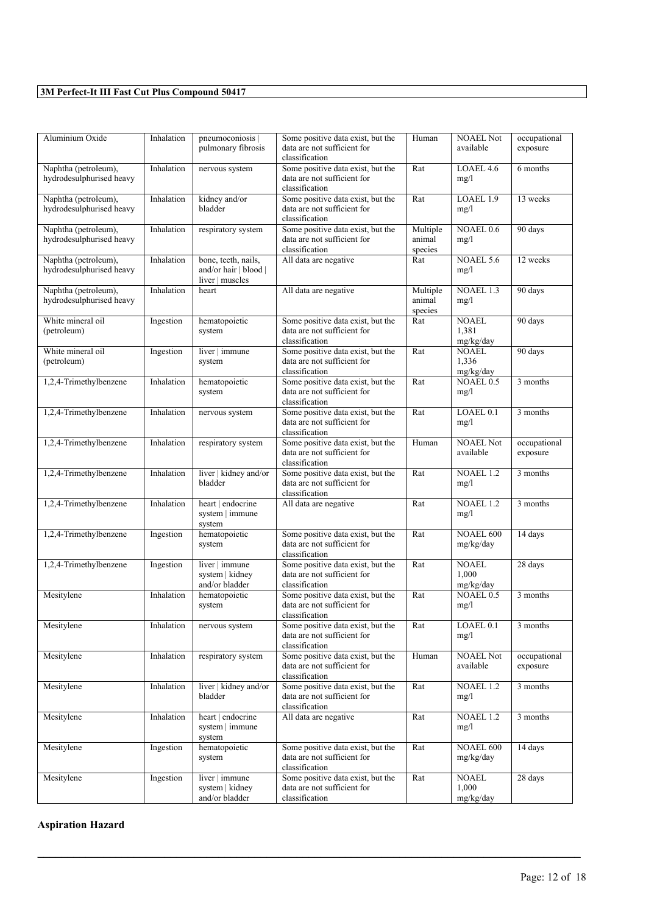| Aluminium Oxide                                  | Inhalation | pneumoconiosis  <br>pulmonary fibrosis                          | Some positive data exist, but the<br>data are not sufficient for<br>classification | Human                         | <b>NOAEL Not</b><br>available      | occupational<br>exposure |
|--------------------------------------------------|------------|-----------------------------------------------------------------|------------------------------------------------------------------------------------|-------------------------------|------------------------------------|--------------------------|
| Naphtha (petroleum),<br>hydrodesulphurised heavy | Inhalation | nervous system                                                  | Some positive data exist, but the<br>data are not sufficient for<br>classification | Rat                           | LOAEL 4.6<br>mg/l                  | 6 months                 |
| Naphtha (petroleum),<br>hydrodesulphurised heavy | Inhalation | kidney and/or<br>bladder                                        | Some positive data exist, but the<br>data are not sufficient for<br>classification | Rat                           | LOAEL 1.9<br>mg/l                  | 13 weeks                 |
| Naphtha (petroleum),<br>hydrodesulphurised heavy | Inhalation | respiratory system                                              | Some positive data exist, but the<br>data are not sufficient for<br>classification | Multiple<br>animal<br>species | NOAEL 0.6<br>mg/l                  | 90 days                  |
| Naphtha (petroleum),<br>hydrodesulphurised heavy | Inhalation | bone, teeth, nails,<br>and/or hair   blood  <br>liver   muscles | All data are negative                                                              | Rat                           | <b>NOAEL 5.6</b><br>mg/l           | 12 weeks                 |
| Naphtha (petroleum),<br>hydrodesulphurised heavy | Inhalation | heart                                                           | All data are negative                                                              | Multiple<br>animal<br>species | NOAEL 1.3<br>mg/l                  | 90 days                  |
| White mineral oil<br>(petroleum)                 | Ingestion  | hematopoietic<br>system                                         | Some positive data exist, but the<br>data are not sufficient for<br>classification | Rat                           | <b>NOAEL</b><br>1,381<br>mg/kg/day | 90 days                  |
| White mineral oil<br>(petroleum)                 | Ingestion  | liver   immune<br>system                                        | Some positive data exist, but the<br>data are not sufficient for<br>classification | Rat                           | <b>NOAEL</b><br>1,336<br>mg/kg/day | 90 days                  |
| 1,2,4-Trimethylbenzene                           | Inhalation | hematopoietic<br>system                                         | Some positive data exist, but the<br>data are not sufficient for<br>classification | Rat                           | NOAEL 0.5<br>mg/l                  | 3 months                 |
| 1,2,4-Trimethylbenzene                           | Inhalation | nervous system                                                  | Some positive data exist, but the<br>data are not sufficient for<br>classification | Rat                           | LOAEL <sub>0.1</sub><br>mg/l       | 3 months                 |
| 1,2,4-Trimethylbenzene                           | Inhalation | respiratory system                                              | Some positive data exist, but the<br>data are not sufficient for<br>classification | Human                         | <b>NOAEL Not</b><br>available      | occupational<br>exposure |
| 1,2,4-Trimethylbenzene                           | Inhalation | liver   kidney and/or<br>bladder                                | Some positive data exist, but the<br>data are not sufficient for<br>classification | Rat                           | NOAEL 1.2<br>mg/l                  | 3 months                 |
| 1,2,4-Trimethylbenzene                           | Inhalation | heart   endocrine<br>system   immune<br>system                  | All data are negative                                                              | $\overline{Rat}$              | NOAEL 1.2<br>mg/l                  | 3 months                 |
| 1,2,4-Trimethylbenzene                           | Ingestion  | hematopoietic<br>system                                         | Some positive data exist, but the<br>data are not sufficient for<br>classification | Rat                           | NOAEL 600<br>mg/kg/day             | 14 days                  |
| 1,2,4-Trimethylbenzene                           | Ingestion  | liver   immune<br>system   kidney<br>and/or bladder             | Some positive data exist, but the<br>data are not sufficient for<br>classification | Rat                           | <b>NOAEL</b><br>1,000<br>mg/kg/day | 28 days                  |
| Mesitylene                                       | Inhalation | hematopoietic<br>system                                         | Some positive data exist, but the<br>data are not sufficient for<br>classification | Rat                           | NOAEL 0.5<br>mg/l                  | 3 months                 |
| Mesitylene                                       | Inhalation | nervous system                                                  | Some positive data exist, but the<br>data are not sufficient for<br>classification | Rat                           | LOAEL 0.1<br>mg/l                  | 3 months                 |
| Mesitylene                                       | Inhalation | respiratory system                                              | Some positive data exist, but the<br>data are not sufficient for<br>classification | Human                         | <b>NOAEL Not</b><br>available      | occupational<br>exposure |
| Mesitylene                                       | Inhalation | liver   kidney and/or<br>bladder                                | Some positive data exist, but the<br>data are not sufficient for<br>classification | Rat                           | NOAEL 1.2<br>mg/l                  | 3 months                 |
| Mesitylene                                       | Inhalation | heart   endocrine<br>system   immune<br>system                  | All data are negative                                                              | Rat                           | NOAEL 1.2<br>mg/l                  | 3 months                 |
| Mesitylene                                       | Ingestion  | hematopoietic<br>system                                         | Some positive data exist, but the<br>data are not sufficient for<br>classification | Rat                           | NOAEL 600<br>mg/kg/day             | 14 days                  |
| Mesitylene                                       | Ingestion  | liver   immune<br>system   kidney<br>and/or bladder             | Some positive data exist, but the<br>data are not sufficient for<br>classification | Rat                           | <b>NOAEL</b><br>1,000<br>mg/kg/day | 28 days                  |

 $\mathcal{L}_\mathcal{L} = \mathcal{L}_\mathcal{L} = \mathcal{L}_\mathcal{L} = \mathcal{L}_\mathcal{L} = \mathcal{L}_\mathcal{L} = \mathcal{L}_\mathcal{L} = \mathcal{L}_\mathcal{L} = \mathcal{L}_\mathcal{L} = \mathcal{L}_\mathcal{L} = \mathcal{L}_\mathcal{L} = \mathcal{L}_\mathcal{L} = \mathcal{L}_\mathcal{L} = \mathcal{L}_\mathcal{L} = \mathcal{L}_\mathcal{L} = \mathcal{L}_\mathcal{L} = \mathcal{L}_\mathcal{L} = \mathcal{L}_\mathcal{L}$ 

**Aspiration Hazard**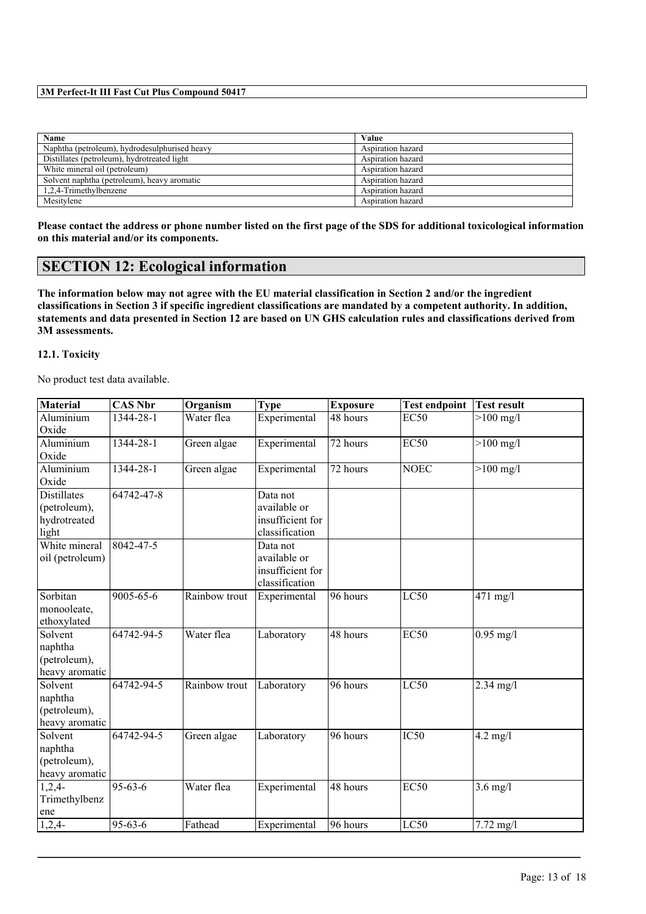| Name                                          | Value             |
|-----------------------------------------------|-------------------|
| Naphtha (petroleum), hydrodesulphurised heavy | Aspiration hazard |
| Distillates (petroleum), hydrotreated light   | Aspiration hazard |
| White mineral oil (petroleum)                 | Aspiration hazard |
| Solvent naphtha (petroleum), heavy aromatic   | Aspiration hazard |
| 1,2,4-Trimethylbenzene                        | Aspiration hazard |
| Mesitylene                                    | Aspiration hazard |

**Please contact the address or phone number listed on the first page of the SDS for additional toxicological information on this material and/or its components.**

# **SECTION 12: Ecological information**

**The information below may not agree with the EU material classification in Section 2 and/or the ingredient classifications in Section 3 if specific ingredient classifications are mandated by a competent authority. In addition, statements and data presented in Section 12 are based on UN GHS calculation rules and classifications derived from 3M assessments.**

#### **12.1. Toxicity**

No product test data available.

| <b>Material</b>    | <b>CAS Nbr</b>  | Organism      | <b>Type</b>      | <b>Exposure</b>       | <b>Test endpoint</b> | <b>Test result</b>  |
|--------------------|-----------------|---------------|------------------|-----------------------|----------------------|---------------------|
| <b>Aluminium</b>   | $1344 - 28 - 1$ | Water flea    | Experimental     | 48 hours              | <b>EC50</b>          | $>100$ mg/l         |
| Oxide              |                 |               |                  |                       |                      |                     |
| Aluminium          | 1344-28-1       | Green algae   | Experimental     | 72 hours              | <b>EC50</b>          | $>100$ mg/l         |
| Oxide              |                 |               |                  |                       |                      |                     |
| Aluminium          | 1344-28-1       | Green algae   | Experimental     | 72 hours              | <b>NOEC</b>          | $>100$ mg/l         |
| Oxide              |                 |               |                  |                       |                      |                     |
| <b>Distillates</b> | 64742-47-8      |               | Data not         |                       |                      |                     |
| (petroleum),       |                 |               | available or     |                       |                      |                     |
| hydrotreated       |                 |               | insufficient for |                       |                      |                     |
| light              |                 |               | classification   |                       |                      |                     |
| White mineral      | $8042 - 47 - 5$ |               | Data not         |                       |                      |                     |
| oil (petroleum)    |                 |               | available or     |                       |                      |                     |
|                    |                 |               | insufficient for |                       |                      |                     |
|                    |                 |               | classification   |                       |                      |                     |
| Sorbitan           | 9005-65-6       | Rainbow trout | Experimental     | 96 hours              | LC50                 | $471$ mg/l          |
| monooleate,        |                 |               |                  |                       |                      |                     |
| ethoxylated        |                 |               |                  |                       |                      |                     |
| Solvent            | 64742-94-5      | Water flea    | Laboratory       | 48 hours              | <b>EC50</b>          | $0.95$ mg/l         |
| naphtha            |                 |               |                  |                       |                      |                     |
| (petroleum),       |                 |               |                  |                       |                      |                     |
| heavy aromatic     |                 |               |                  |                       |                      |                     |
| Solvent            | 64742-94-5      | Rainbow trout | Laboratory       | 96 hours              | LC50                 | $2.34$ mg/l         |
| naphtha            |                 |               |                  |                       |                      |                     |
| (petroleum),       |                 |               |                  |                       |                      |                     |
| heavy aromatic     |                 |               |                  |                       |                      |                     |
| Solvent            | 64742-94-5      | Green algae   | Laboratory       | 96 hours              | IC50                 | $4.2 \text{ mg}/l$  |
| naphtha            |                 |               |                  |                       |                      |                     |
| (petroleum),       |                 |               |                  |                       |                      |                     |
| heavy aromatic     |                 |               |                  |                       |                      |                     |
| $1,2,4-$           | $95 - 63 - 6$   | Water flea    | Experimental     | 48 hours              | <b>EC50</b>          | $3.6$ mg/l          |
| Trimethylbenz      |                 |               |                  |                       |                      |                     |
| ene                |                 |               |                  |                       |                      |                     |
| $1,2,4-$           | $95 - 63 - 6$   | Fathead       | Experimental     | $\overline{96}$ hours | LC50                 | $7.72 \text{ mg}/1$ |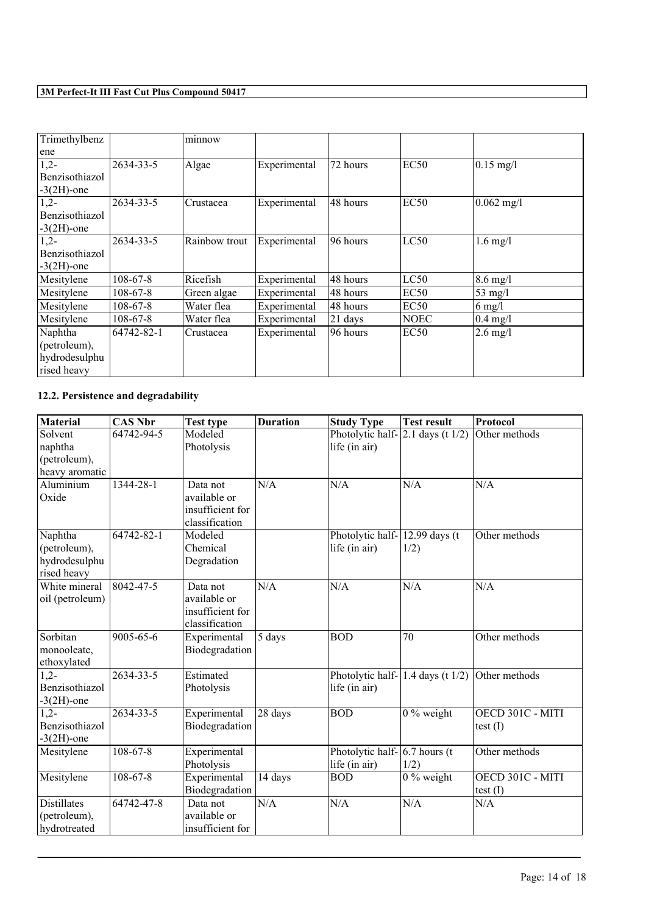| Trimethylbenz         |                | minnow        |              |          |                  |                    |
|-----------------------|----------------|---------------|--------------|----------|------------------|--------------------|
| ene                   |                |               |              |          |                  |                    |
| $1,2-$                | 2634-33-5      | Algae         | Experimental | 72 hours | EC <sub>50</sub> | $0.15$ mg/l        |
| <b>Benzisothiazol</b> |                |               |              |          |                  |                    |
| $-3(2H)$ -one         |                |               |              |          |                  |                    |
| $1,2-$                | 2634-33-5      | Crustacea     | Experimental | 48 hours | EC <sub>50</sub> | $0.062$ mg/l       |
| Benzisothiazol        |                |               |              |          |                  |                    |
| $-3(2H)$ -one         |                |               |              |          |                  |                    |
| $1,2-$                | 2634-33-5      | Rainbow trout | Experimental | 96 hours | LC50             | $1.6$ mg/l         |
| Benzisothiazol        |                |               |              |          |                  |                    |
| $-3(2H)$ -one         |                |               |              |          |                  |                    |
| Mesitylene            | $108 - 67 - 8$ | Ricefish      | Experimental | 48 hours | LC50             | $8.6$ mg/l         |
| Mesitylene            | 108-67-8       | Green algae   | Experimental | 48 hours | EC <sub>50</sub> | 53 mg/l            |
| Mesitylene            | $108 - 67 - 8$ | Water flea    | Experimental | 48 hours | EC <sub>50</sub> | $6$ mg/l           |
| Mesitylene            | 108-67-8       | Water flea    | Experimental | 21 days  | NOEC             | $0.4 \text{ mg}/1$ |
| Naphtha               | 64742-82-1     | Crustacea     | Experimental | 96 hours | EC <sub>50</sub> | $2.6$ mg/l         |
| (petroleum),          |                |               |              |          |                  |                    |
| hydrodesulphu         |                |               |              |          |                  |                    |
| rised heavy           |                |               |              |          |                  |                    |

# **12.2. Persistence and degradability**

| Material                                                | <b>CAS Nbr</b>  | <b>Test type</b>                                               | <b>Duration</b> | <b>Study Type</b>                                 | <b>Test result</b>                        | Protocol                       |
|---------------------------------------------------------|-----------------|----------------------------------------------------------------|-----------------|---------------------------------------------------|-------------------------------------------|--------------------------------|
| Solvent                                                 | 64742-94-5      | Modeled                                                        |                 |                                                   | Photolytic half- $\vert$ 2.1 days (t 1/2) | Other methods                  |
| naphtha                                                 |                 | Photolysis                                                     |                 | life (in air)                                     |                                           |                                |
| (petroleum),                                            |                 |                                                                |                 |                                                   |                                           |                                |
| heavy aromatic                                          |                 |                                                                |                 |                                                   |                                           |                                |
| Aluminium<br>Oxide                                      | 1344-28-1       | Data not<br>available or<br>insufficient for<br>classification | N/A             | N/A                                               | N/A                                       | N/A                            |
| Naphtha<br>(petroleum),<br>hydrodesulphu<br>rised heavy | 64742-82-1      | Modeled<br>Chemical<br>Degradation                             |                 | Photolytic half-12.99 days (t)<br>life (in air)   | 1/2)                                      | Other methods                  |
| White mineral<br>oil (petroleum)                        | $8042 - 47 - 5$ | Data not<br>available or<br>insufficient for<br>classification | N/A             | N/A                                               | N/A                                       | N/A                            |
| Sorbitan<br>monooleate,<br>ethoxylated                  | 9005-65-6       | Experimental<br>Biodegradation                                 | 5 days          | <b>BOD</b>                                        | 70                                        | Other methods                  |
| $1.2 -$<br>Benzisothiazol<br>$-3(2H)$ -one              | 2634-33-5       | Estimated<br>Photolysis                                        |                 | life (in air)                                     | Photolytic half- $\vert$ 1.4 days (t 1/2) | Other methods                  |
| $1.2 -$<br>Benzisothiazol<br>$-3(2H)$ -one              | $2634 - 33 - 5$ | Experimental<br>Biodegradation                                 | 28 days         | <b>BOD</b>                                        | $0\%$ weight                              | OECD 301C - MITI<br>test $(I)$ |
| Mesitylene                                              | $108 - 67 - 8$  | Experimental<br>Photolysis                                     |                 | Photolytic half- $ 6.7$ hours (t<br>life (in air) | 1/2)                                      | Other methods                  |
| Mesitylene                                              | $108 - 67 - 8$  | Experimental<br>Biodegradation                                 | 14 days         | <b>BOD</b>                                        | $0\%$ weight                              | OECD 301C - MITI<br>test(I)    |
| <b>Distillates</b><br>(petroleum),<br>hydrotreated      | 64742-47-8      | Data not<br>available or<br>insufficient for                   | N/A             | N/A                                               | N/A                                       | N/A                            |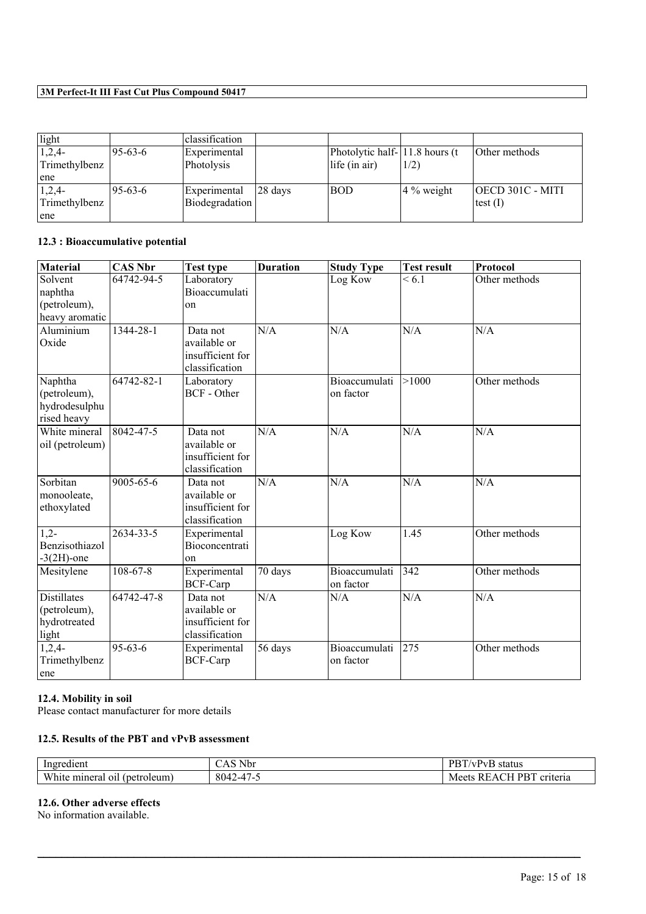| light         |           | classification        |         |                                |              |                  |
|---------------|-----------|-----------------------|---------|--------------------------------|--------------|------------------|
| $1,2,4-$      | $95-63-6$ | Experimental          |         | Photolytic half-11.8 hours (t) |              | Other methods    |
| Trimethylbenz |           | Photolysis            |         | life (in air)                  | 1/2)         |                  |
| ene           |           |                       |         |                                |              |                  |
| $1,2,4-$      | $95-63-6$ | Experimental          | 28 days | <b>BOD</b>                     | $4\%$ weight | OECD 301C - MITI |
| Trimethylbenz |           | <b>Biodegradation</b> |         |                                |              | test $(I)$       |
| ene           |           |                       |         |                                |              |                  |

# **12.3 : Bioaccumulative potential**

| <b>Material</b>    | <b>CAS Nbr</b>  | <b>Test type</b>   | <b>Duration</b> | <b>Study Type</b> | <b>Test result</b> | Protocol      |
|--------------------|-----------------|--------------------|-----------------|-------------------|--------------------|---------------|
| Solvent            | 64742-94-5      | Laboratory         |                 | Log Kow           | ${}< 6.1$          | Other methods |
| naphtha            |                 | Bioaccumulati      |                 |                   |                    |               |
| (petroleum),       |                 | on                 |                 |                   |                    |               |
| heavy aromatic     |                 |                    |                 |                   |                    |               |
| Aluminium          | 1344-28-1       | Data not           | N/A             | N/A               | N/A                | N/A           |
| Oxide              |                 | available or       |                 |                   |                    |               |
|                    |                 | insufficient for   |                 |                   |                    |               |
|                    |                 | classification     |                 |                   |                    |               |
| Naphtha            | 64742-82-1      | Laboratory         |                 | Bioaccumulati     | >1000              | Other methods |
| (petroleum),       |                 | <b>BCF</b> - Other |                 | on factor         |                    |               |
| hydrodesulphu      |                 |                    |                 |                   |                    |               |
| rised heavy        |                 |                    |                 |                   |                    |               |
| White mineral      | 8042-47-5       | Data not           | N/A             | N/A               | N/A                | N/A           |
| oil (petroleum)    |                 | available or       |                 |                   |                    |               |
|                    |                 | insufficient for   |                 |                   |                    |               |
|                    |                 | classification     |                 |                   |                    |               |
| Sorbitan           | $9005 - 65 - 6$ | Data not           | N/A             | N/A               | N/A                | N/A           |
| monooleate,        |                 | available or       |                 |                   |                    |               |
| ethoxylated        |                 | insufficient for   |                 |                   |                    |               |
|                    |                 | classification     |                 |                   |                    |               |
| $1,2^{-}$          | 2634-33-5       | Experimental       |                 | Log Kow           | 1.45               | Other methods |
| Benzisothiazol     |                 | Bioconcentrati     |                 |                   |                    |               |
| $-3(2H)$ -one      |                 | on                 |                 |                   |                    |               |
| Mesitylene         | $108 - 67 - 8$  | Experimental       | 70 days         | Bioaccumulati     | 342                | Other methods |
|                    |                 | <b>BCF-Carp</b>    |                 | on factor         |                    |               |
| <b>Distillates</b> | 64742-47-8      | Data not           | N/A             | N/A               | N/A                | N/A           |
| (petroleum),       |                 | available or       |                 |                   |                    |               |
| hydrotreated       |                 | insufficient for   |                 |                   |                    |               |
| light              |                 | classification     |                 |                   |                    |               |
| $1,2,4-$           | $95 - 63 - 6$   | Experimental       | 56 days         | Bioaccumulati     | 275                | Other methods |
| Trimethylbenz      |                 | <b>BCF-Carp</b>    |                 | on factor         |                    |               |
| ene                |                 |                    |                 |                   |                    |               |

# **12.4. Mobility in soil**

Please contact manufacturer for more details

#### **12.5. Results of the PBT and vPvB assessment**

| Ingredient                                           | <b>XT1</b><br>$\sim$<br>Nbr<br>்∆                                                             | $\overline{\phantom{a}}$<br>$\overline{\mathbf{p}}$<br>status<br>/vPvB |
|------------------------------------------------------|-----------------------------------------------------------------------------------------------|------------------------------------------------------------------------|
| W <sup>1</sup><br>mineral<br>(petroleum)<br>011<br>A | $\overline{A}$<br>8042<br>$\prime$<br><u>/ -4 / -</u><br>$T \sim$<br>$\overline{\phantom{0}}$ | 1 PBT<br>criteria<br>RI<br>$\Lambda$<br>Meets                          |

 $\mathcal{L}_\mathcal{L} = \mathcal{L}_\mathcal{L} = \mathcal{L}_\mathcal{L} = \mathcal{L}_\mathcal{L} = \mathcal{L}_\mathcal{L} = \mathcal{L}_\mathcal{L} = \mathcal{L}_\mathcal{L} = \mathcal{L}_\mathcal{L} = \mathcal{L}_\mathcal{L} = \mathcal{L}_\mathcal{L} = \mathcal{L}_\mathcal{L} = \mathcal{L}_\mathcal{L} = \mathcal{L}_\mathcal{L} = \mathcal{L}_\mathcal{L} = \mathcal{L}_\mathcal{L} = \mathcal{L}_\mathcal{L} = \mathcal{L}_\mathcal{L}$ 

# **12.6. Other adverse effects**

No information available.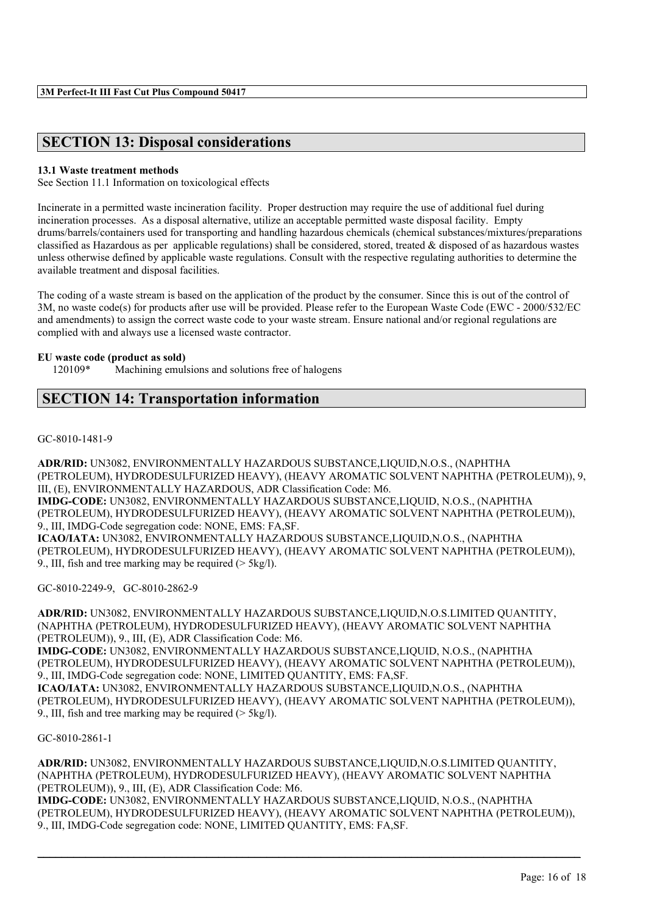# **SECTION 13: Disposal considerations**

#### **13.1 Waste treatment methods**

See Section 11.1 Information on toxicological effects

Incinerate in a permitted waste incineration facility. Proper destruction may require the use of additional fuel during incineration processes. As a disposal alternative, utilize an acceptable permitted waste disposal facility. Empty drums/barrels/containers used for transporting and handling hazardous chemicals (chemical substances/mixtures/preparations classified as Hazardous as per applicable regulations) shall be considered, stored, treated & disposed of as hazardous wastes unless otherwise defined by applicable waste regulations. Consult with the respective regulating authorities to determine the available treatment and disposal facilities.

The coding of a waste stream is based on the application of the product by the consumer. Since this is out of the control of 3M, no waste code(s) for products after use will be provided. Please refer to the European Waste Code (EWC - 2000/532/EC and amendments) to assign the correct waste code to your waste stream. Ensure national and/or regional regulations are complied with and always use a licensed waste contractor.

#### **EU waste code (product as sold)**

120109\* Machining emulsions and solutions free of halogens

# **SECTION 14: Transportation information**

GC-8010-1481-9

**ADR/RID:** UN3082, ENVIRONMENTALLY HAZARDOUS SUBSTANCE,LIQUID,N.O.S., (NAPHTHA (PETROLEUM), HYDRODESULFURIZED HEAVY), (HEAVY AROMATIC SOLVENT NAPHTHA (PETROLEUM)), 9, III, (E), ENVIRONMENTALLY HAZARDOUS, ADR Classification Code: M6. **IMDG-CODE:** UN3082, ENVIRONMENTALLY HAZARDOUS SUBSTANCE,LIQUID, N.O.S., (NAPHTHA (PETROLEUM), HYDRODESULFURIZED HEAVY), (HEAVY AROMATIC SOLVENT NAPHTHA (PETROLEUM)), 9., III, IMDG-Code segregation code: NONE, EMS: FA,SF. **ICAO/IATA:** UN3082, ENVIRONMENTALLY HAZARDOUS SUBSTANCE,LIQUID,N.O.S., (NAPHTHA (PETROLEUM), HYDRODESULFURIZED HEAVY), (HEAVY AROMATIC SOLVENT NAPHTHA (PETROLEUM)), 9., III, fish and tree marking may be required (> 5kg/l).

GC-8010-2249-9, GC-8010-2862-9

**ADR/RID:** UN3082, ENVIRONMENTALLY HAZARDOUS SUBSTANCE,LIQUID,N.O.S.LIMITED QUANTITY, (NAPHTHA (PETROLEUM), HYDRODESULFURIZED HEAVY), (HEAVY AROMATIC SOLVENT NAPHTHA (PETROLEUM)), 9., III, (E), ADR Classification Code: M6. **IMDG-CODE:** UN3082, ENVIRONMENTALLY HAZARDOUS SUBSTANCE,LIQUID, N.O.S., (NAPHTHA (PETROLEUM), HYDRODESULFURIZED HEAVY), (HEAVY AROMATIC SOLVENT NAPHTHA (PETROLEUM)), 9., III, IMDG-Code segregation code: NONE, LIMITED QUANTITY, EMS: FA,SF. **ICAO/IATA:** UN3082, ENVIRONMENTALLY HAZARDOUS SUBSTANCE,LIQUID,N.O.S., (NAPHTHA (PETROLEUM), HYDRODESULFURIZED HEAVY), (HEAVY AROMATIC SOLVENT NAPHTHA (PETROLEUM)), 9., III, fish and tree marking may be required  $($  > 5kg/l).

GC-8010-2861-1

**ADR/RID:** UN3082, ENVIRONMENTALLY HAZARDOUS SUBSTANCE,LIQUID,N.O.S.LIMITED QUANTITY, (NAPHTHA (PETROLEUM), HYDRODESULFURIZED HEAVY), (HEAVY AROMATIC SOLVENT NAPHTHA (PETROLEUM)), 9., III, (E), ADR Classification Code: M6. **IMDG-CODE:** UN3082, ENVIRONMENTALLY HAZARDOUS SUBSTANCE,LIQUID, N.O.S., (NAPHTHA (PETROLEUM), HYDRODESULFURIZED HEAVY), (HEAVY AROMATIC SOLVENT NAPHTHA (PETROLEUM)), 9., III, IMDG-Code segregation code: NONE, LIMITED QUANTITY, EMS: FA,SF.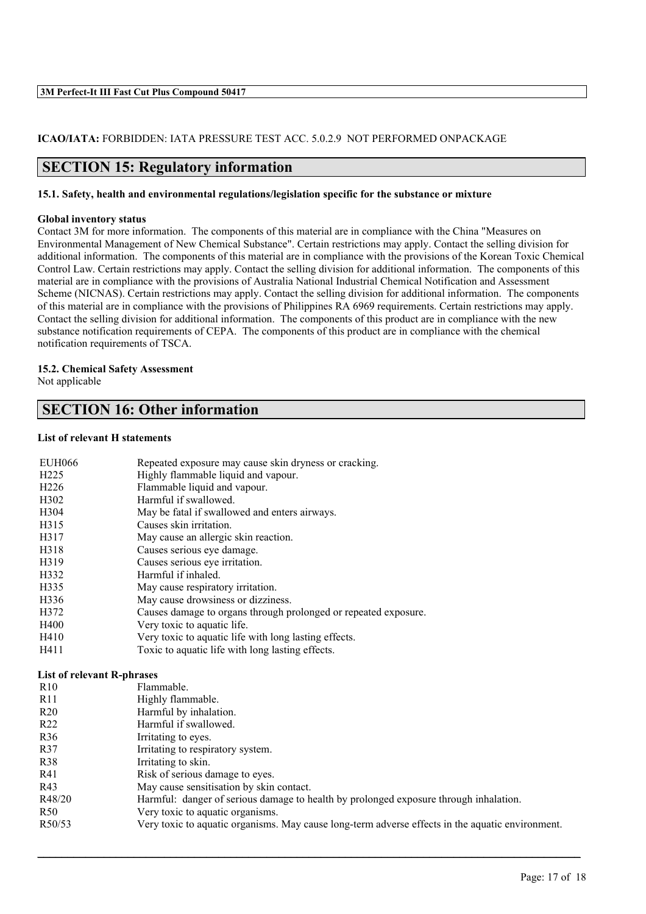#### **ICAO/IATA:** FORBIDDEN: IATA PRESSURE TEST ACC. 5.0.2.9 NOT PERFORMED ONPACKAGE

# **SECTION 15: Regulatory information**

#### **15.1. Safety, health and environmental regulations/legislation specific for the substance or mixture**

#### **Global inventory status**

Contact 3M for more information. The components of this material are in compliance with the China "Measures on Environmental Management of New Chemical Substance". Certain restrictions may apply. Contact the selling division for additional information. The components of this material are in compliance with the provisions of the Korean Toxic Chemical Control Law. Certain restrictions may apply. Contact the selling division for additional information. The components of this material are in compliance with the provisions of Australia National Industrial Chemical Notification and Assessment Scheme (NICNAS). Certain restrictions may apply. Contact the selling division for additional information. The components of this material are in compliance with the provisions of Philippines RA 6969 requirements. Certain restrictions may apply. Contact the selling division for additional information. The components of this product are in compliance with the new substance notification requirements of CEPA. The components of this product are in compliance with the chemical notification requirements of TSCA.

### **15.2. Chemical Safety Assessment**

Not applicable

# **SECTION 16: Other information**

EUH066 Repeated exposure may cause skin dryness or cracking.

#### **List of relevant H statements**

|                                   | reported exposure may cause shin at filess of crucining                                          |
|-----------------------------------|--------------------------------------------------------------------------------------------------|
| H <sub>225</sub>                  | Highly flammable liquid and vapour.                                                              |
| H <sub>226</sub>                  | Flammable liquid and vapour.                                                                     |
| H302                              | Harmful if swallowed.                                                                            |
| H304                              | May be fatal if swallowed and enters airways.                                                    |
| H315                              | Causes skin irritation.                                                                          |
| H317                              | May cause an allergic skin reaction.                                                             |
| H318                              | Causes serious eye damage.                                                                       |
| H319                              | Causes serious eye irritation.                                                                   |
| H332                              | Harmful if inhaled.                                                                              |
| H335                              | May cause respiratory irritation.                                                                |
| H336                              | May cause drowsiness or dizziness.                                                               |
| H372                              | Causes damage to organs through prolonged or repeated exposure.                                  |
| H400                              | Very toxic to aquatic life.                                                                      |
| H410                              | Very toxic to aquatic life with long lasting effects.                                            |
| H411                              | Toxic to aquatic life with long lasting effects.                                                 |
| <b>List of relevant R-phrases</b> |                                                                                                  |
| R10                               | Flammable.                                                                                       |
| R11                               | Highly flammable.                                                                                |
| R20                               | Harmful by inhalation.                                                                           |
| R22                               | Harmful if swallowed.                                                                            |
| R36                               | Irritating to eyes.                                                                              |
| R37                               | Irritating to respiratory system.                                                                |
| R38                               | Irritating to skin.                                                                              |
| R41                               | Risk of serious damage to eyes.                                                                  |
| R43                               | May cause sensitisation by skin contact.                                                         |
| R48/20                            | Harmful: danger of serious damage to health by prolonged exposure through inhalation.            |
| R <sub>50</sub>                   | Very toxic to aquatic organisms.                                                                 |
| R50/53                            | Very toxic to aquatic organisms. May cause long-term adverse effects in the aquatic environment. |
|                                   |                                                                                                  |